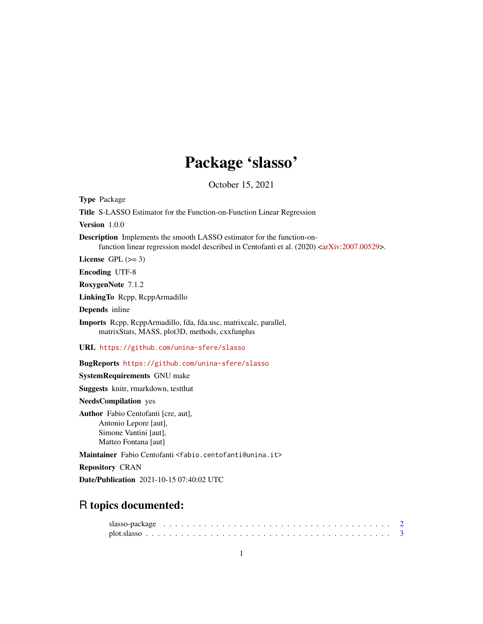# Package 'slasso'

October 15, 2021

Type Package

Title S-LASSO Estimator for the Function-on-Function Linear Regression

Version 1.0.0

Description Implements the smooth LASSO estimator for the function-on-function linear regression model described in Centofanti et al. (2020) [<arXiv:2007.00529>](https://arxiv.org/abs/2007.00529).

License GPL  $(>= 3)$ 

Encoding UTF-8

RoxygenNote 7.1.2

LinkingTo Rcpp, RcppArmadillo

Depends inline

Imports Rcpp, RcppArmadillo, fda, fda.usc, matrixcalc, parallel, matrixStats, MASS, plot3D, methods, cxxfunplus

URL <https://github.com/unina-sfere/slasso>

BugReports <https://github.com/unina-sfere/slasso>

SystemRequirements GNU make

Suggests knitr, rmarkdown, testthat

NeedsCompilation yes

Author Fabio Centofanti [cre, aut], Antonio Lepore [aut], Simone Vantini [aut], Matteo Fontana [aut]

Maintainer Fabio Centofanti <fabio.centofanti@unina.it>

Repository CRAN

Date/Publication 2021-10-15 07:40:02 UTC

## R topics documented: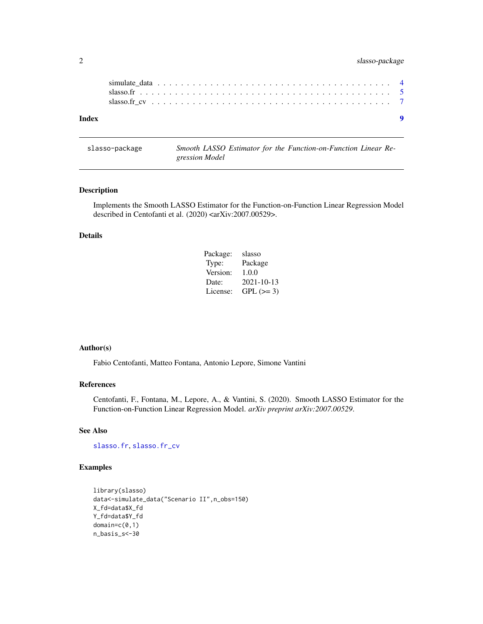#### <span id="page-1-0"></span>2 slasso-package

| Index |  |  |  |  |  |  |  |  |  |  |  |  |  |  |  |  |  |  |  |
|-------|--|--|--|--|--|--|--|--|--|--|--|--|--|--|--|--|--|--|--|
|       |  |  |  |  |  |  |  |  |  |  |  |  |  |  |  |  |  |  |  |
|       |  |  |  |  |  |  |  |  |  |  |  |  |  |  |  |  |  |  |  |
|       |  |  |  |  |  |  |  |  |  |  |  |  |  |  |  |  |  |  |  |

slasso-package *Smooth LASSO Estimator for the Function-on-Function Linear Regression Model*

#### Description

Implements the Smooth LASSO Estimator for the Function-on-Function Linear Regression Model described in Centofanti et al. (2020) <arXiv:2007.00529>.

#### Details

| Package: | slasso     |
|----------|------------|
| Type:    | Package    |
| Version: | 1.0.0      |
| Date:    | 2021-10-13 |
| License: | $GPL (=3)$ |

#### Author(s)

Fabio Centofanti, Matteo Fontana, Antonio Lepore, Simone Vantini

#### References

Centofanti, F., Fontana, M., Lepore, A., & Vantini, S. (2020). Smooth LASSO Estimator for the Function-on-Function Linear Regression Model. *arXiv preprint arXiv:2007.00529*.

#### See Also

[slasso.fr](#page-4-1), [slasso.fr\\_cv](#page-6-1)

#### Examples

```
library(slasso)
data<-simulate_data("Scenario II",n_obs=150)
X_fd=data$X_fd
Y_fd=data$Y_fd
domain=c(0,1)
n_basis_s<-30
```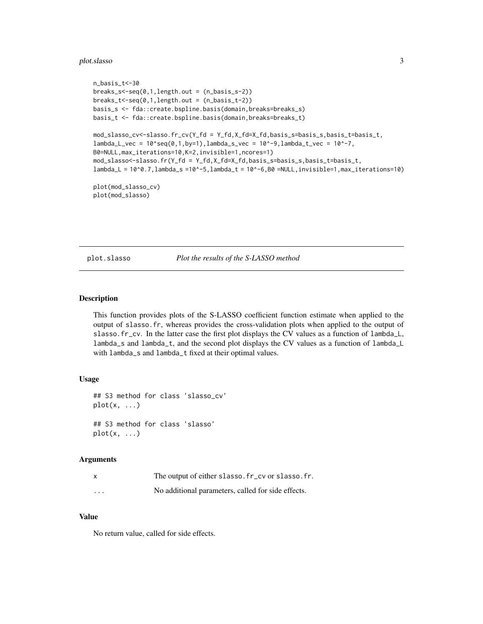#### <span id="page-2-0"></span>plot.slasso 3

```
n_basis_t<-30
breaks_s<-seq(0,1,length.out = (n_basis_s-2))
breaks_t<-seq(0,1,length.out = (n_basis_t-2))
basis_s <- fda::create.bspline.basis(domain,breaks=breaks_s)
basis_t <- fda::create.bspline.basis(domain,breaks=breaks_t)
mod_slasso_cv<-slasso.fr_cv(Y_fd = Y_fd,X_fd=X_fd,basis_s=basis_s,basis_t=basis_t,
lambda_Lvec = 10^seq(0,1,by=1),lambda_s_vec = 10^-9,lambda_t_vec = 10^-7,
B0=NULL,max_iterations=10,K=2,invisible=1,ncores=1)
mod_slasso<-slasso.fr(Y_fd = Y_fd,X_fd=X_fd,basis_s=basis_s,basis_t=basis_t,
lambda_L = 10^0.7, lambda_s = 10^0.5, lambda_t = 10^0.6, B0 = NULL, invisible = 1, max_i iterations=10)
plot(mod_slasso_cv)
plot(mod_slasso)
```
plot.slasso *Plot the results of the S-LASSO method*

#### Description

This function provides plots of the S-LASSO coefficient function estimate when applied to the output of slasso.fr, whereas provides the cross-validation plots when applied to the output of slasso.fr\_cv. In the latter case the first plot displays the CV values as a function of lambda\_L, lambda\_s and lambda\_t, and the second plot displays the CV values as a function of lambda\_L with lambda\_s and lambda\_t fixed at their optimal values.

#### Usage

```
## S3 method for class 'slasso_cv'
plot(x, \ldots)## S3 method for class 'slasso'
plot(x, \ldots)
```
#### Arguments

|                         | The output of either slasso. fr_cv or slasso. fr.  |
|-------------------------|----------------------------------------------------|
| $\cdot$ $\cdot$ $\cdot$ | No additional parameters, called for side effects. |

#### Value

No return value, called for side effects.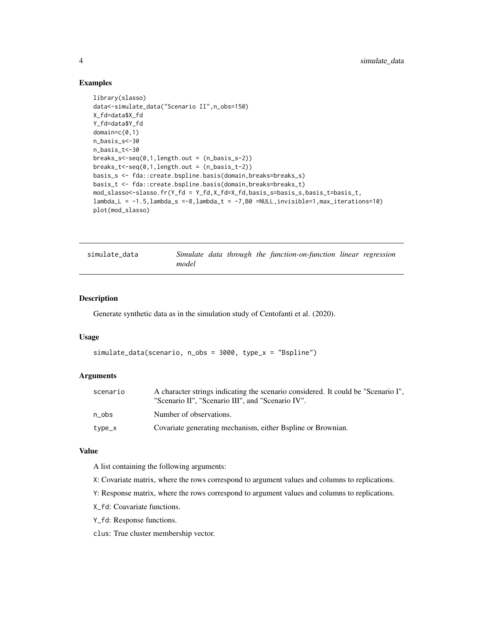#### <span id="page-3-0"></span>Examples

```
library(slasso)
data<-simulate_data("Scenario II",n_obs=150)
X_fd=data$X_fd
Y_fd=data$Y_fd
domain=c(0,1)
n_basis_s<-30
n_basis_t<-30
breaks_s<-seq(0,1,length.out = (n_basis_s-2))
breaks_t <-seq(0,1, length.out = (n_basis_t-2))basis_s <- fda::create.bspline.basis(domain,breaks=breaks_s)
basis_t <- fda::create.bspline.basis(domain,breaks=breaks_t)
mod_slasso<-slasso.fr(Y_fd = Y_fd,X_fd=X_fd,basis_s=basis_s,basis_t=basis_t,
lambda_L = -1.5, lambda_S = -8, lambda_L = -7, B0 = NULL, invisible = 1, max_i_{iterations=10}plot(mod_slasso)
```

| simulate data |       |  | Simulate data through the function-on-function linear regression |  |
|---------------|-------|--|------------------------------------------------------------------|--|
|               | model |  |                                                                  |  |

#### Description

Generate synthetic data as in the simulation study of Centofanti et al. (2020).

#### Usage

```
simulate_data(scenario, n_obs = 3000, type_x = "Bspline")
```
#### Arguments

| scenario | A character strings indicating the scenario considered. It could be "Scenario I",<br>"Scenario II", "Scenario III", and "Scenario IV". |
|----------|----------------------------------------------------------------------------------------------------------------------------------------|
| n obs    | Number of observations.                                                                                                                |
| type_x   | Covariate generating mechanism, either Bspline or Brownian.                                                                            |

#### Value

A list containing the following arguments:

- X: Covariate matrix, where the rows correspond to argument values and columns to replications.
- Y: Response matrix, where the rows correspond to argument values and columns to replications.
- X\_fd: Coavariate functions.
- Y\_fd: Response functions.

clus: True cluster membership vector.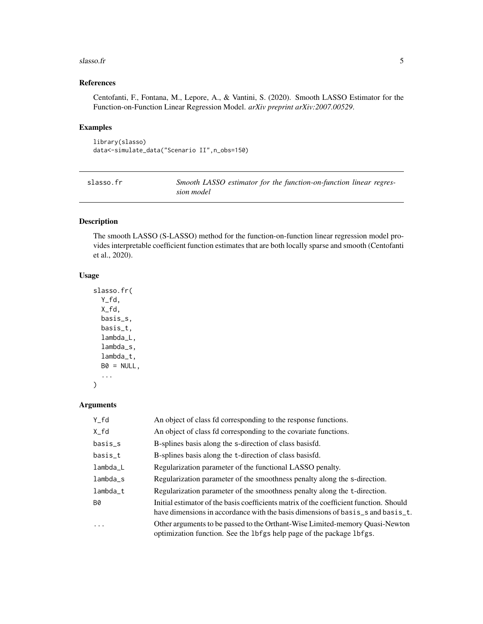#### <span id="page-4-0"></span> $s$ lasso.fr  $\overline{5}$

#### References

Centofanti, F., Fontana, M., Lepore, A., & Vantini, S. (2020). Smooth LASSO Estimator for the Function-on-Function Linear Regression Model. *arXiv preprint arXiv:2007.00529*.

#### Examples

```
library(slasso)
data<-simulate_data("Scenario II",n_obs=150)
```
<span id="page-4-1"></span>

| slasso.fr | Smooth LASSO estimator for the function-on-function linear regres- |  |
|-----------|--------------------------------------------------------------------|--|
|           | sion model                                                         |  |

#### Description

The smooth LASSO (S-LASSO) method for the function-on-function linear regression model provides interpretable coefficient function estimates that are both locally sparse and smooth (Centofanti et al., 2020).

#### Usage

```
slasso.fr(
 Y_fd,
 X_fd,
 basis_s,
 basis_t,
  lambda_L,
  lambda_s,
  lambda_t,
 B0 = NULL,...
)
```
#### Arguments

| Y_fd       | An object of class fd corresponding to the response functions.                                                                                                            |
|------------|---------------------------------------------------------------------------------------------------------------------------------------------------------------------------|
| $X_{f}d$   | An object of class fd corresponding to the covariate functions.                                                                                                           |
| basis_s    | B-splines basis along the s-direction of class basisfd.                                                                                                                   |
| basis_t    | B-splines basis along the t-direction of class basisfd.                                                                                                                   |
| $lambda_L$ | Regularization parameter of the functional LASSO penalty.                                                                                                                 |
| $lambda_s$ | Regularization parameter of the smoothness penalty along the s-direction.                                                                                                 |
| $lambda_t$ | Regularization parameter of the smoothness penalty along the t-direction.                                                                                                 |
| <b>B0</b>  | Initial estimator of the basis coefficients matrix of the coefficient function. Should<br>have dimensions in accordance with the basis dimensions of basis s and basis t. |
| $\cdots$   | Other arguments to be passed to the Orthant-Wise Limited-memory Quasi-Newton<br>optimization function. See the 1bfgs help page of the package 1bfgs.                      |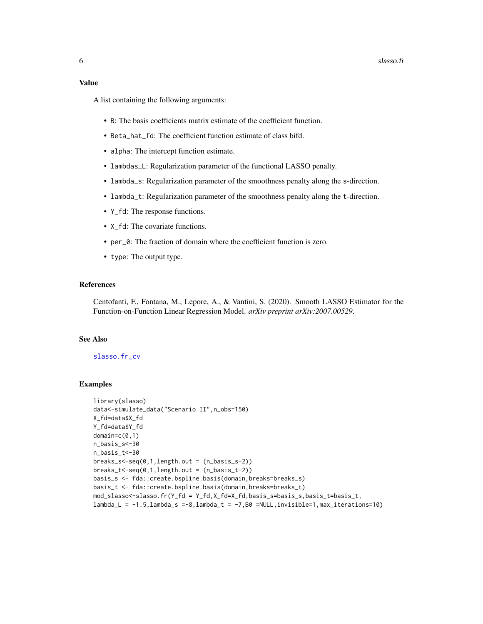#### <span id="page-5-0"></span>Value

A list containing the following arguments:

- B: The basis coefficients matrix estimate of the coefficient function.
- Beta\_hat\_fd: The coefficient function estimate of class bifd.
- alpha: The intercept function estimate.
- lambdas\_L: Regularization parameter of the functional LASSO penalty.
- lambda\_s: Regularization parameter of the smoothness penalty along the s-direction.
- lambda\_t: Regularization parameter of the smoothness penalty along the t-direction.
- Y\_fd: The response functions.
- X\_fd: The covariate functions.
- per\_0: The fraction of domain where the coefficient function is zero.
- type: The output type.

#### References

Centofanti, F., Fontana, M., Lepore, A., & Vantini, S. (2020). Smooth LASSO Estimator for the Function-on-Function Linear Regression Model. *arXiv preprint arXiv:2007.00529*.

#### See Also

#### [slasso.fr\\_cv](#page-6-1)

#### Examples

```
library(slasso)
data<-simulate_data("Scenario II",n_obs=150)
X_fd=data$X_fd
Y_fd=data$Y_fd
domain=c(0,1)
n_basis_s<-30
n_basis_t<-30
breaks<sub>-s</sub> < - seq(0,1, length.out = (n_basis_s-2))
breaks_t \leftarrow seq(0,1, length.out = (n_basis_t - 2))basis_s <- fda::create.bspline.basis(domain,breaks=breaks_s)
basis_t <- fda::create.bspline.basis(domain,breaks=breaks_t)
mod_slasso<-slasso.fr(Y_fd = Y_fd,X_fd=X_fd,basis_s=basis_s,basis_t=basis_t,
lambda_L = -1.5, lambda_S = -8, lambda_L = -7, B0 = NULL, invisible=1, max_i_t = -10
```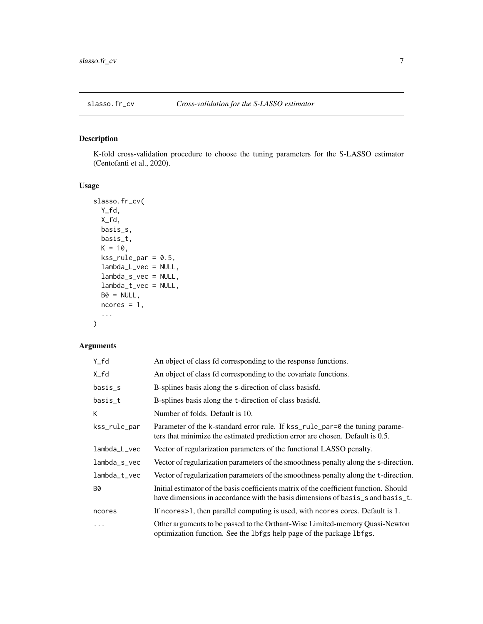<span id="page-6-1"></span><span id="page-6-0"></span>

## Description

K-fold cross-validation procedure to choose the tuning parameters for the S-LASSO estimator (Centofanti et al., 2020).

## Usage

```
slasso.fr_cv(
 Y_fd,
 X_fd,
 basis_s,
 basis_t,
 K = 10,
 kss_rule\_par = 0.5,lambda_L_vec = NULL,
  lambda_s_vec = NULL,
  lambda_t_vec = NULL,
 BØ = NULL,ncores = 1,
  ...
)
```
#### Arguments

| $Y_f d$      | An object of class fd corresponding to the response functions.                                                                                                            |
|--------------|---------------------------------------------------------------------------------------------------------------------------------------------------------------------------|
| $X_{f}d$     | An object of class fd corresponding to the covariate functions.                                                                                                           |
| basis_s      | B-splines basis along the s-direction of class basisfd.                                                                                                                   |
| basis_t      | B-splines basis along the t-direction of class basisfd.                                                                                                                   |
| К            | Number of folds. Default is 10.                                                                                                                                           |
| kss_rule_par | Parameter of the k-standard error rule. If kss_rule_par=0 the tuning parame-<br>ters that minimize the estimated prediction error are chosen. Default is 0.5.             |
| lambda_L_vec | Vector of regularization parameters of the functional LASSO penalty.                                                                                                      |
| lambda_s_vec | Vector of regularization parameters of the smoothness penalty along the s-direction.                                                                                      |
| lambda_t_vec | Vector of regularization parameters of the smoothness penalty along the t-direction.                                                                                      |
| B0           | Initial estimator of the basis coefficients matrix of the coefficient function. Should<br>have dimensions in accordance with the basis dimensions of basis s and basis t. |
| ncores       | If no cres is the parallel computing is used, with no cress cores. Default is 1.                                                                                          |
| $\ddots$     | Other arguments to be passed to the Orthant-Wise Limited-memory Quasi-Newton<br>optimization function. See the 1bfgs help page of the package 1bfgs.                      |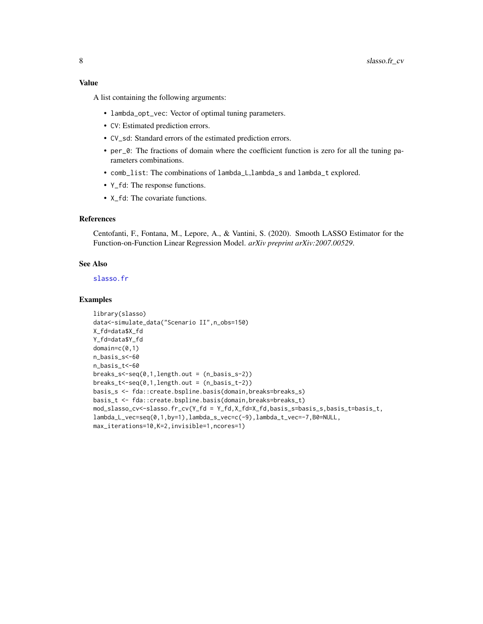#### <span id="page-7-0"></span>Value

A list containing the following arguments:

- lambda\_opt\_vec: Vector of optimal tuning parameters.
- CV: Estimated prediction errors.
- CV\_sd: Standard errors of the estimated prediction errors.
- per\_0: The fractions of domain where the coefficient function is zero for all the tuning parameters combinations.
- comb\_list: The combinations of lambda\_L,lambda\_s and lambda\_t explored.
- Y\_fd: The response functions.
- X\_fd: The covariate functions.

#### References

Centofanti, F., Fontana, M., Lepore, A., & Vantini, S. (2020). Smooth LASSO Estimator for the Function-on-Function Linear Regression Model. *arXiv preprint arXiv:2007.00529*.

#### See Also

[slasso.fr](#page-4-1)

#### Examples

```
library(slasso)
data<-simulate_data("Scenario II",n_obs=150)
X_fd=data$X_fd
Y_fd=data$Y_fd
domain=c(0,1)
n_basis_s<-60
n_basis_t<-60
breaks<sub>-seq(0,1,length.out = (n_basis_s-2))</sub>
breaks_t<-seq(0,1,length.out = (n_basis_t-2))
basis_s <- fda::create.bspline.basis(domain,breaks=breaks_s)
basis_t <- fda::create.bspline.basis(domain,breaks=breaks_t)
mod_slasso_cv<-slasso.fr_cv(Y_fd = Y_fd,X_fd=X_fd,basis_s=basis_s,basis_t=basis_t,
lambda_L_vec=seq(0,1,by=1),lambda_s_vec=c(-9),lambda_t_vec=-7,B0=NULL,
max_iterations=10,K=2,invisible=1,ncores=1)
```